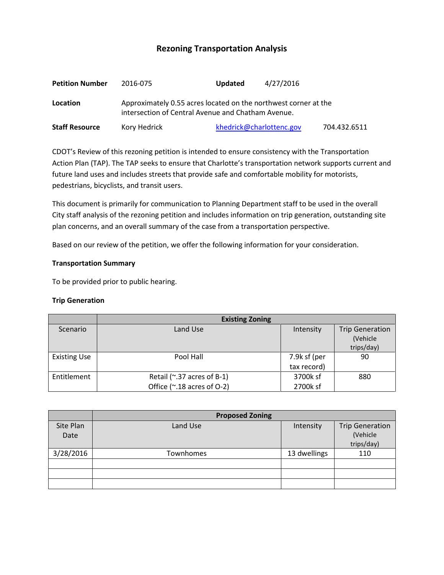# **Rezoning Transportation Analysis**

| <b>Petition Number</b> | 2016-075                                                                                                              | <b>Updated</b>           | 4/27/2016 |              |  |
|------------------------|-----------------------------------------------------------------------------------------------------------------------|--------------------------|-----------|--------------|--|
| Location               | Approximately 0.55 acres located on the northwest corner at the<br>intersection of Central Avenue and Chatham Avenue. |                          |           |              |  |
| <b>Staff Resource</b>  | Kory Hedrick                                                                                                          | khedrick@charlottenc.gov |           | 704.432.6511 |  |

CDOT's Review of this rezoning petition is intended to ensure consistency with the Transportation Action Plan (TAP). The TAP seeks to ensure that Charlotte's transportation network supports current and future land uses and includes streets that provide safe and comfortable mobility for motorists, pedestrians, bicyclists, and transit users.

This document is primarily for communication to Planning Department staff to be used in the overall City staff analysis of the rezoning petition and includes information on trip generation, outstanding site plan concerns, and an overall summary of the case from a transportation perspective.

Based on our review of the petition, we offer the following information for your consideration.

### **Transportation Summary**

To be provided prior to public hearing.

### **Trip Generation**

|                     | <b>Existing Zoning</b>                                   |                             |                                                  |
|---------------------|----------------------------------------------------------|-----------------------------|--------------------------------------------------|
| Scenario            | Land Use                                                 | Intensity                   | <b>Trip Generation</b><br>(Vehicle<br>trips/day) |
| <b>Existing Use</b> | Pool Hall                                                | 7.9k sf (per<br>tax record) | 90                                               |
| Entitlement         | Retail (~.37 acres of B-1)<br>Office (~.18 acres of O-2) | 3700k sf<br>2700k sf        | 880                                              |

|           | <b>Proposed Zoning</b> |              |                        |
|-----------|------------------------|--------------|------------------------|
| Site Plan | Land Use               | Intensity    | <b>Trip Generation</b> |
| Date      |                        |              | (Vehicle               |
|           |                        |              | trips/day)             |
| 3/28/2016 | Townhomes              | 13 dwellings | 110                    |
|           |                        |              |                        |
|           |                        |              |                        |
|           |                        |              |                        |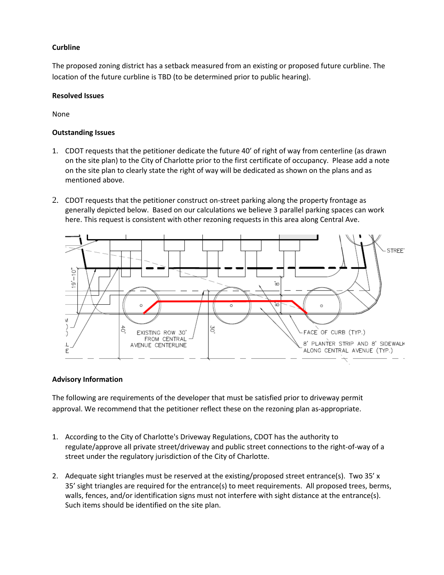# **Curbline**

The proposed zoning district has a setback measured from an existing or proposed future curbline. The location of the future curbline is TBD (to be determined prior to public hearing).

## **Resolved Issues**

None

### **Outstanding Issues**

- 1. CDOT requests that the petitioner dedicate the future 40' of right of way from centerline (as drawn on the site plan) to the City of Charlotte prior to the first certificate of occupancy. Please add a note on the site plan to clearly state the right of way will be dedicated as shown on the plans and as mentioned above.
- 2. CDOT requests that the petitioner construct on-street parking along the property frontage as generally depicted below. Based on our calculations we believe 3 parallel parking spaces can work here. This request is consistent with other rezoning requests in this area along Central Ave.



### **Advisory Information**

The following are requirements of the developer that must be satisfied prior to driveway permit approval. We recommend that the petitioner reflect these on the rezoning plan as-appropriate.

- 1. According to the City of Charlotte's Driveway Regulations, CDOT has the authority to regulate/approve all private street/driveway and public street connections to the right-of-way of a street under the regulatory jurisdiction of the City of Charlotte.
- 2. Adequate sight triangles must be reserved at the existing/proposed street entrance(s). Two 35' x 35' sight triangles are required for the entrance(s) to meet requirements. All proposed trees, berms, walls, fences, and/or identification signs must not interfere with sight distance at the entrance(s). Such items should be identified on the site plan.